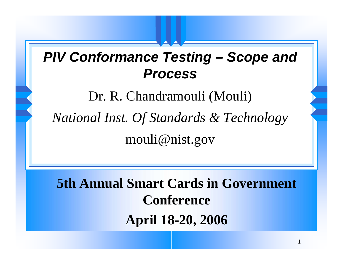#### *PIV Conformance Testing – Scope and Process*

Dr. R. Chandramouli (Mouli) *National Inst. Of Standards & Technology* mouli@nist.gov

**5th Annual Smart Cards in Government Conference April 18-20, 2006**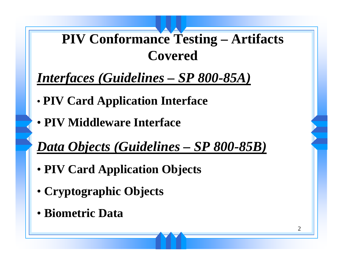## **PIV Conformance Testing – Artifacts Covered**

## *Interfaces (Guidelines – SP 800-85A)*

- •**PIV Card Application Interface**
- **PIV Middleware Interface**

## *Data Objects (Guidelines – SP 800-85B)*

- **PIV Card Application Objects**
- **Cryptographic Objects**
- **Biometric Data**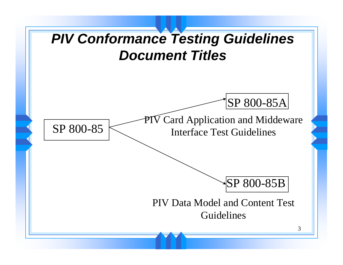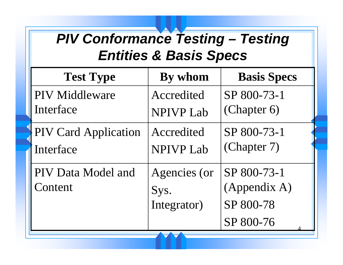## *PIV Conformance Testing – Testing Entities & Basis Specs*

| <b>Test Type</b>              | By whom                             | <b>Basis Specs</b>                                    |
|-------------------------------|-------------------------------------|-------------------------------------------------------|
| <b>PIV</b> Middleware         | Accredited                          | SP 800-73-1                                           |
| Interface                     | <b>NPIVP Lab</b>                    | (Chapter 6)                                           |
| <b>PIV Card Application</b>   | Accredited                          | SP 800-73-1                                           |
| Interface                     | <b>NPIVP Lab</b>                    | (Chapter 7)                                           |
| PIV Data Model and<br>Content | Agencies (or<br>Sys.<br>Integrator) | SP 800-73-1<br>(Appendix A)<br>SP 800-78<br>SP 800-76 |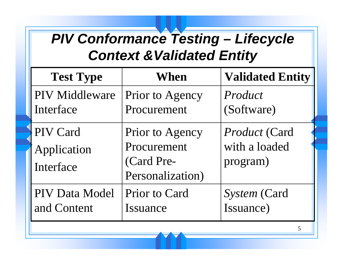## *PIV Conformance Testing – Lifecycle*  **Context & Validated Entity**

| <b>Test Type</b>                     | When                                                             | <b>Validated Entity</b>                    |
|--------------------------------------|------------------------------------------------------------------|--------------------------------------------|
| PIV Middleware                       | Prior to Agency                                                  | Product                                    |
| Interface                            | Procurement                                                      | (Software)                                 |
| PIV Card<br>Application<br>Interface | Prior to Agency<br>Procurement<br>(Card Pre-<br>Personalization) | Product (Card<br>with a loaded<br>program) |
| <b>PIV Data Model</b>                | Prior to Card                                                    | System (Card                               |
| and Content                          | Issuance                                                         | Issuance)                                  |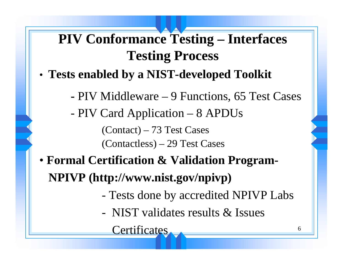# **PIV Conformance Testing – Interfaces Testing Process**

- • **Tests enabled by a NIST-developed Toolkit**
	- **-** PIV Middleware 9 Functions, 65 Test Cases
	- PIV Card Application 8 APDUs (Contact) – 73 Test Cases (Contactless) – 29 Test Cases
- **Formal Certification & Validation Program-NPIVP (http://www.nist.gov/npivp)**
	- Tests done by accredited NPIVP Labs
	- NIST validates results & Issues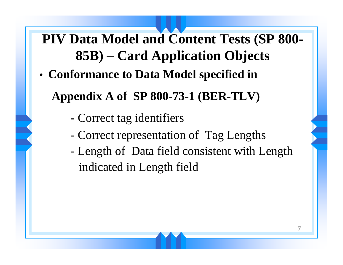**PIV Data Model and Content Tests (SP 800- 85B) – Card Application Objects**

•**Conformance to Data Model specified in** 

**Appendix A of SP 800-73-1 (BER-TLV)**

- **-**Correct tag identifiers
- Correct representation of Tag Lengths
- Length of Data field consistent with Length indicated in Length field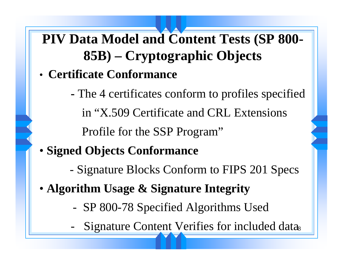## **PIV Data Model and Content Tests (SP 800- 85B) – Cryptographic Objects**

- **Certificate Conformance**
	- **-** The 4 certificates conform to profiles specified in "X.509 Certificate and CRL Extensions Profile for the SSP Program"
- **Signed Objects Conformance**
	- Signature Blocks Conform to FIPS 201 Specs
- **Algorithm Usage & Signature Integrity**
	- SP 800-78 Specified Algorithms Used
	- Signature Content Verifies for included datas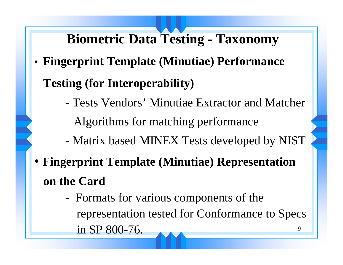# **Biometric Data Testing - Taxonomy**

- • **Fingerprint Template (Minutiae) Performance Testing (for Interoperability)**
	- **-** Tests Vendors' Minutiae Extractor and Matcher Algorithms for matching performance
	- Matrix based MINEX Tests developed by NIST
- **Fingerprint Template (Minutiae) Representation on the Card**
	- 9**-**- Formats for various components of the representation tested for Conformance to Specs in SP 800-76.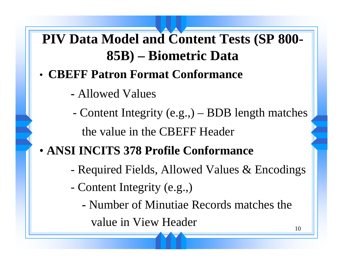**PIV Data Model and Content Tests (SP 800- 85B) – Biometric Data**

- **CBEFF Patron Format Conformance**
	- **-** Allowed Values
	- Content Integrity (e.g.,) BDB length matches the value in the CBEFF Header
- **ANSI INCITS 378 Profile Conformance**
	- Required Fields, Allowed Values & Encodings
	- Content Integrity (e.g.,)
		- **-** Number of Minutiae Records matches the value in View Header